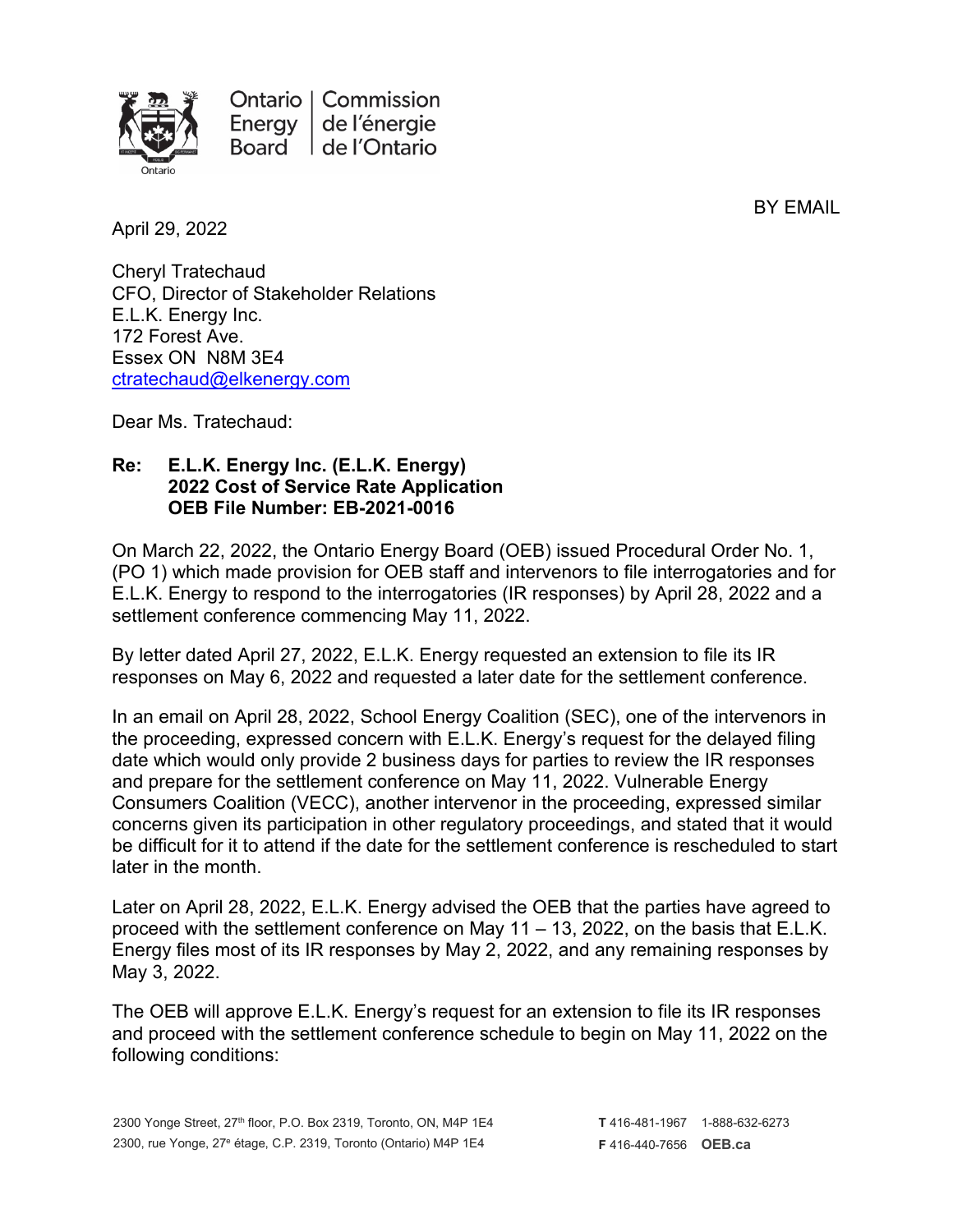

Ontario | Commission Energy de l'énergie de l'Ontario **Board** 

BY EMAIL

April 29, 2022

Cheryl Tratechaud CFO, Director of Stakeholder Relations E.L.K. Energy Inc. 172 Forest Ave. Essex ON N8M 3E4 [ctratechaud@elkenergy.com](mailto:ctratechaud@elkenergy.com)

Dear Ms. Tratechaud:

## **Re: E.L.K. Energy Inc. (E.L.K. Energy) 2022 Cost of Service Rate Application OEB File Number: EB-2021-0016**

On March 22, 2022, the Ontario Energy Board (OEB) issued Procedural Order No. 1, (PO 1) which made provision for OEB staff and intervenors to file interrogatories and for E.L.K. Energy to respond to the interrogatories (IR responses) by April 28, 2022 and a settlement conference commencing May 11, 2022.

By letter dated April 27, 2022, E.L.K. Energy requested an extension to file its IR responses on May 6, 2022 and requested a later date for the settlement conference.

In an email on April 28, 2022, School Energy Coalition (SEC), one of the intervenors in the proceeding, expressed concern with E.L.K. Energy's request for the delayed filing date which would only provide 2 business days for parties to review the IR responses and prepare for the settlement conference on May 11, 2022. Vulnerable Energy Consumers Coalition (VECC), another intervenor in the proceeding, expressed similar concerns given its participation in other regulatory proceedings, and stated that it would be difficult for it to attend if the date for the settlement conference is rescheduled to start later in the month.

Later on April 28, 2022, E.L.K. Energy advised the OEB that the parties have agreed to proceed with the settlement conference on May 11 – 13, 2022, on the basis that E.L.K. Energy files most of its IR responses by May 2, 2022, and any remaining responses by May 3, 2022.

The OEB will approve E.L.K. Energy's request for an extension to file its IR responses and proceed with the settlement conference schedule to begin on May 11, 2022 on the following conditions: